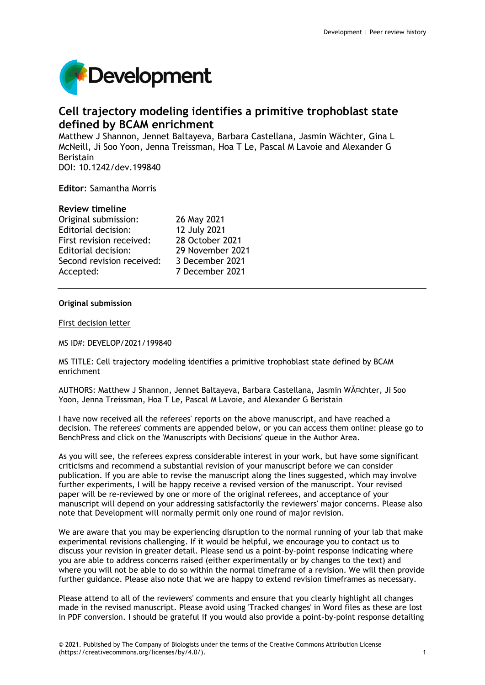

# **Cell trajectory modeling identifies a primitive trophoblast state defined by BCAM enrichment**

Matthew J Shannon, Jennet Baltayeva, Barbara Castellana, Jasmin Wächter, Gina L McNeill, Ji Soo Yoon, Jenna Treissman, Hoa T Le, Pascal M Lavoie and Alexander G Beristain

DOI: 10.1242/dev.199840

**Editor**: Samantha Morris

# **Review timeline**

| Original submission:      | 26 May 2021      |
|---------------------------|------------------|
| Editorial decision:       | 12 July 2021     |
| First revision received:  | 28 October 2021  |
| Editorial decision:       | 29 November 2021 |
| Second revision received: | 3 December 2021  |
| Accepted:                 | 7 December 2021  |
|                           |                  |

## **Original submission**

First decision letter

MS ID#: DEVELOP/2021/199840

MS TITLE: Cell trajectory modeling identifies a primitive trophoblast state defined by BCAM enrichment

AUTHORS: Matthew J Shannon, Jennet Baltayeva, Barbara Castellana, Jasmin Wächter, Ji Soo Yoon, Jenna Treissman, Hoa T Le, Pascal M Lavoie, and Alexander G Beristain

I have now received all the referees' reports on the above manuscript, and have reached a decision. The referees' comments are appended below, or you can access them online: please go to BenchPress and click on the 'Manuscripts with Decisions' queue in the Author Area.

As you will see, the referees express considerable interest in your work, but have some significant criticisms and recommend a substantial revision of your manuscript before we can consider publication. If you are able to revise the manuscript along the lines suggested, which may involve further experiments, I will be happy receive a revised version of the manuscript. Your revised paper will be re-reviewed by one or more of the original referees, and acceptance of your manuscript will depend on your addressing satisfactorily the reviewers' major concerns. Please also note that Development will normally permit only one round of major revision.

We are aware that you may be experiencing disruption to the normal running of your lab that make experimental revisions challenging. If it would be helpful, we encourage you to contact us to discuss your revision in greater detail. Please send us a point-by-point response indicating where you are able to address concerns raised (either experimentally or by changes to the text) and where you will not be able to do so within the normal timeframe of a revision. We will then provide further guidance. Please also note that we are happy to extend revision timeframes as necessary.

Please attend to all of the reviewers' comments and ensure that you clearly highlight all changes made in the revised manuscript. Please avoid using 'Tracked changes' in Word files as these are lost in PDF conversion. I should be grateful if you would also provide a point-by-point response detailing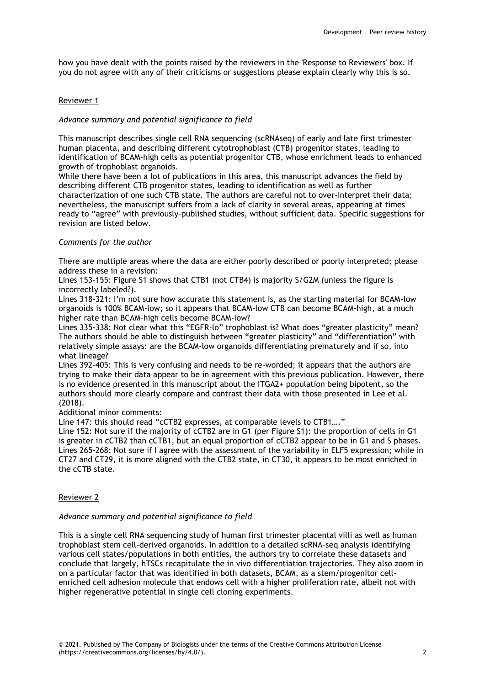how you have dealt with the points raised by the reviewers in the 'Response to Reviewers' box. If you do not agree with any of their criticisms or suggestions please explain clearly why this is so.

# Reviewer 1

# *Advance summary and potential significance to field*

This manuscript describes single cell RNA sequencing (scRNAseq) of early and late first trimester human placenta, and describing different cytotrophoblast (CTB) progenitor states, leading to identification of BCAM-high cells as potential progenitor CTB, whose enrichment leads to enhanced growth of trophoblast organoids.

While there have been a lot of publications in this area, this manuscript advances the field by describing different CTB progenitor states, leading to identification as well as further characterization of one such CTB state. The authors are careful not to over-interpret their data; nevertheless, the manuscript suffers from a lack of clarity in several areas, appearing at times ready to "agree" with previously-published studies, without sufficient data. Specific suggestions for revision are listed below.

## *Comments for the author*

There are multiple areas where the data are either poorly described or poorly interpreted; please address these in a revision:

Lines 153-155: Figure S1 shows that CTB1 (not CTB4) is majority S/G2M (unless the figure is incorrectly labeled?).

Lines 318-321: I'm not sure how accurate this statement is, as the starting material for BCAM-low organoids is 100% BCAM-low; so it appears that BCAM-low CTB can become BCAM-high, at a much higher rate than BCAM-high cells become BCAM-low?

Lines 335-338: Not clear what this "EGFR-lo" trophoblast is? What does "greater plasticity" mean? The authors should be able to distinguish between "greater plasticity" and "differentiation" with relatively simple assays: are the BCAM-low organoids differentiating prematurely and if so, into what lineage?

Lines 392-405: This is very confusing and needs to be re-worded; it appears that the authors are trying to make their data appear to be in agreement with this previous publication. However, there is no evidence presented in this manuscript about the ITGA2+ population being bipotent, so the authors should more clearly compare and contrast their data with those presented in Lee et al. (2018).

Additional minor comments:

Line 147: this should read "cCTB2 expresses, at comparable levels to CTB1…."

Line 152: Not sure if the majority of cCTB2 are in G1 (per Figure S1): the proportion of cells in G1 is greater in cCTB2 than cCTB1, but an equal proportion of cCTB2 appear to be in G1 and S phases. Lines 265-268: Not sure if I agree with the assessment of the variability in ELF5 expression; while in CT27 and CT29, it is more aligned with the CTB2 state, in CT30, it appears to be most enriched in the cCTB state.

## Reviewer 2

## *Advance summary and potential significance to field*

This is a single cell RNA sequencing study of human first trimester placental villi as well as human trophoblast stem cell-derived organoids. In addition to a detailed scRNA-seq analysis identifying various cell states/populations in both entities, the authors try to correlate these datasets and conclude that largely, hTSCs recapitulate the in vivo differentiation trajectories. They also zoom in on a particular factor that was identified in both datasets, BCAM, as a stem/progenitor cellenriched cell adhesion molecule that endows cell with a higher proliferation rate, albeit not with higher regenerative potential in single cell cloning experiments.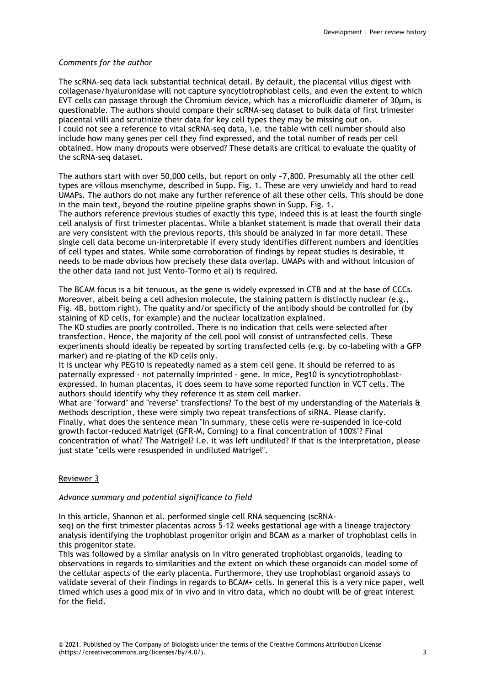# *Comments for the author*

The scRNA-seq data lack substantial technical detail. By default, the placental villus digest with collagenase/hyaluronidase will not capture syncytiotrophoblast cells, and even the extent to which EVT cells can passage through the Chromium device, which has a microfluidic diameter of 30µm, is questionable. The authors should compare their scRNA-seq dataset to bulk data of first trimester placental villi and scrutinize their data for key cell types they may be missing out on. I could not see a reference to vital scRNA-seq data, i.e. the table with cell number should also include how many genes per cell they find expressed, and the total number of reads per cell obtained. How many dropouts were observed? These details are critical to evaluate the quality of the scRNA-seq dataset.

The authors start with over 50,000 cells, but report on only ~7,800. Presumably all the other cell types are villous msenchyme, described in Supp. Fig. 1. These are very unwieldy and hard to read UMAPs. The authors do not make any further reference of all these other cells. This should be done in the main text, beyond the routine pipeline graphs shown in Supp. Fig. 1.

The authors reference previous studies of exactly this type, indeed this is at least the fourth single cell analysis of first trimester placentas. While a blanket statement is made that overall their data are very consistent with the previous reports, this should be analyzed in far more detail. These single cell data become un-interpretable if every study identifies different numbers and identities of cell types and states. While some corroboration of findings by repeat studies is desirable, it needs to be made obvious how precisely these data overlap. UMAPs with and without inlcusion of the other data (and not just Vento-Tormo et al) is required.

The BCAM focus is a bit tenuous, as the gene is widely expressed in CTB and at the base of CCCs. Moreover, albeit being a cell adhesion molecule, the staining pattern is distinctly nuclear (e.g., Fig. 4B, bottom right). The quality and/or specificty of the antibody should be controlled for (by staining of KD cells, for example) and the nuclear localization explained.

The KD studies are poorly controlled. There is no indication that cells were selected after transfection. Hence, the majority of the cell pool will consist of untransfected cells. These experiments should ideally be repeated by sorting transfected cells (e.g. by co-labeling with a GFP marker) and re-plating of the KD cells only.

It is unclear why PEG10 is repeatedly named as a stem cell gene. It should be referred to as paternally expressed - not paternally imprinted - gene. In mice, Peg10 is syncytiotrophoblastexpressed. In human placentas, it does seem to have some reported function in VCT cells. The authors should identify why they reference it as stem cell marker.

What are "forward" and "reverse" transfections? To the best of my understanding of the Materials & Methods description, these were simply two repeat transfections of siRNA. Please clarify. Finally, what does the sentence mean "In summary, these cells were re-suspended in ice-cold growth factor-reduced Matrigel (GFR-M, Corning) to a final concentration of 100%"? Final concentration of what? The Matrigel? I.e. it was left undiluted? If that is the interpretation, please just state "cells were resuspended in undiluted Matrigel".

# Reviewer 3

## *Advance summary and potential significance to field*

In this article, Shannon et al. performed single cell RNA sequencing (scRNA-

seq) on the first trimester placentas across 5-12 weeks gestational age with a lineage trajectory analysis identifying the trophoblast progenitor origin and BCAM as a marker of trophoblast cells in this progenitor state.

This was followed by a similar analysis on in vitro generated trophoblast organoids, leading to observations in regards to similarities and the extent on which these organoids can model some of the cellular aspects of the early placenta. Furthermore, they use trophoblast organoid assays to validate several of their findings in regards to BCAM+ cells. In general this is a very nice paper, well timed which uses a good mix of in vivo and in vitro data, which no doubt will be of great interest for the field.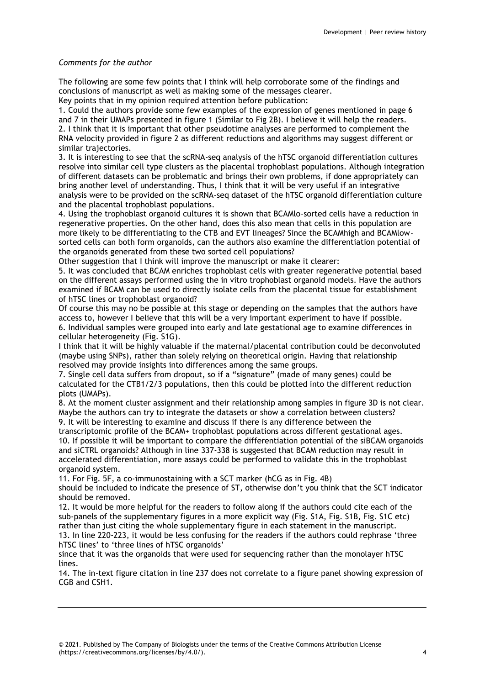# *Comments for the author*

The following are some few points that I think will help corroborate some of the findings and conclusions of manuscript as well as making some of the messages clearer.

Key points that in my opinion required attention before publication:

1. Could the authors provide some few examples of the expression of genes mentioned in page 6 and 7 in their UMAPs presented in figure 1 (Similar to Fig 2B). I believe it will help the readers. 2. I think that it is important that other pseudotime analyses are performed to complement the RNA velocity provided in figure 2 as different reductions and algorithms may suggest different or similar trajectories.

3. It is interesting to see that the scRNA-seq analysis of the hTSC organoid differentiation cultures resolve into similar cell type clusters as the placental trophoblast populations. Although integration of different datasets can be problematic and brings their own problems, if done appropriately can bring another level of understanding. Thus, I think that it will be very useful if an integrative analysis were to be provided on the scRNA-seq dataset of the hTSC organoid differentiation culture and the placental trophoblast populations.

4. Using the trophoblast organoid cultures it is shown that BCAMlo-sorted cells have a reduction in regenerative properties. On the other hand, does this also mean that cells in this population are more likely to be differentiating to the CTB and EVT lineages? Since the BCAMhigh and BCAMlowsorted cells can both form organoids, can the authors also examine the differentiation potential of the organoids generated from these two sorted cell populations?

Other suggestion that I think will improve the manuscript or make it clearer:

5. It was concluded that BCAM enriches trophoblast cells with greater regenerative potential based on the different assays performed using the in vitro trophoblast organoid models. Have the authors examined if BCAM can be used to directly isolate cells from the placental tissue for establishment of hTSC lines or trophoblast organoid?

Of course this may no be possible at this stage or depending on the samples that the authors have access to, however I believe that this will be a very important experiment to have if possible. 6. Individual samples were grouped into early and late gestational age to examine differences in cellular heterogeneity (Fig. S1G).

I think that it will be highly valuable if the maternal/placental contribution could be deconvoluted (maybe using SNPs), rather than solely relying on theoretical origin. Having that relationship resolved may provide insights into differences among the same groups.

7. Single cell data suffers from dropout, so if a "signature" (made of many genes) could be calculated for the CTB1/2/3 populations, then this could be plotted into the different reduction plots (UMAPs).

8. At the moment cluster assignment and their relationship among samples in figure 3D is not clear. Maybe the authors can try to integrate the datasets or show a correlation between clusters?

9. It will be interesting to examine and discuss if there is any difference between the transcriptomic profile of the BCAM+ trophoblast populations across different gestational ages. 10. If possible it will be important to compare the differentiation potential of the siBCAM organoids and siCTRL organoids? Although in line 337-338 is suggested that BCAM reduction may result in accelerated differentiation, more assays could be performed to validate this in the trophoblast organoid system.

11. For Fig. 5F, a co-immunostaining with a SCT marker (hCG as in Fig. 4B)

should be included to indicate the presence of ST, otherwise don't you think that the SCT indicator should be removed.

12. It would be more helpful for the readers to follow along if the authors could cite each of the sub-panels of the supplementary figures in a more explicit way (Fig. S1A, Fig. S1B, Fig. S1C etc) rather than just citing the whole supplementary figure in each statement in the manuscript. 13. In line 220-223, it would be less confusing for the readers if the authors could rephrase 'three hTSC lines' to 'three lines of hTSC organoids'

since that it was the organoids that were used for sequencing rather than the monolayer hTSC lines.

14. The in-text figure citation in line 237 does not correlate to a figure panel showing expression of CGB and CSH1.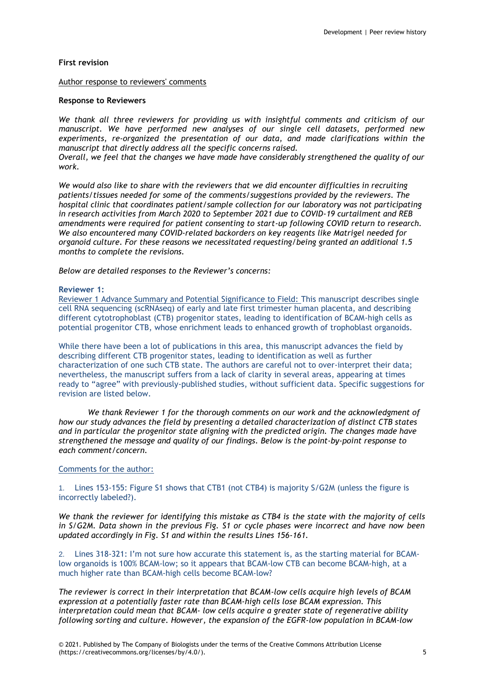# **First revision**

#### Author response to reviewers' comments

#### **Response to Reviewers**

*We thank all three reviewers for providing us with insightful comments and criticism of our manuscript. We have performed new analyses of our single cell datasets, performed new experiments, re-organized the presentation of our data, and made clarifications within the manuscript that directly address all the specific concerns raised.*

*Overall, we feel that the changes we have made have considerably strengthened the quality of our work.*

*We would also like to share with the reviewers that we did encounter difficulties in recruiting patients/tissues needed for some of the comments/suggestions provided by the reviewers. The hospital clinic that coordinates patient/sample collection for our laboratory was not participating in research activities from March 2020 to September 2021 due to COVID-19 curtailment and REB amendments were required for patient consenting to start-up following COVID return to research. We also encountered many COVID-related backorders on key reagents like Matrigel needed for organoid culture. For these reasons we necessitated requesting/being granted an additional 1.5 months to complete the revisions.*

*Below are detailed responses to the Reviewer's concerns:*

#### **Reviewer 1:**

Reviewer 1 Advance Summary and Potential Significance to Field: This manuscript describes single cell RNA sequencing (scRNAseq) of early and late first trimester human placenta, and describing different cytotrophoblast (CTB) progenitor states, leading to identification of BCAM-high cells as potential progenitor CTB, whose enrichment leads to enhanced growth of trophoblast organoids.

While there have been a lot of publications in this area, this manuscript advances the field by describing different CTB progenitor states, leading to identification as well as further characterization of one such CTB state. The authors are careful not to over-interpret their data; nevertheless, the manuscript suffers from a lack of clarity in several areas, appearing at times ready to "agree" with previously-published studies, without sufficient data. Specific suggestions for revision are listed below.

*We thank Reviewer 1 for the thorough comments on our work and the acknowledgment of how our study advances the field by presenting a detailed characterization of distinct CTB states and in particular the progenitor state aligning with the predicted origin. The changes made have strengthened the message and quality of our findings. Below is the point-by-point response to each comment/concern.*

# Comments for the author:

1. Lines 153-155: Figure S1 shows that CTB1 (not CTB4) is majority S/G2M (unless the figure is incorrectly labeled?).

*We thank the reviewer for identifying this mistake as CTB4 is the state with the majority of cells in S/G2M. Data shown in the previous Fig. S1 or cycle phases were incorrect and have now been updated accordingly in Fig. S1 and within the results Lines 156-161.*

2. Lines 318-321: I'm not sure how accurate this statement is, as the starting material for BCAMlow organoids is 100% BCAM-low; so it appears that BCAM-low CTB can become BCAM-high, at a much higher rate than BCAM-high cells become BCAM-low?

*The reviewer is correct in their interpretation that BCAM-low cells acquire high levels of BCAM expression at a potentially faster rate than BCAM-high cells lose BCAM expression. This interpretation could mean that BCAM- low cells acquire a greater state of regenerative ability following sorting and culture. However, the expansion of the EGFR-low population in BCAM-low*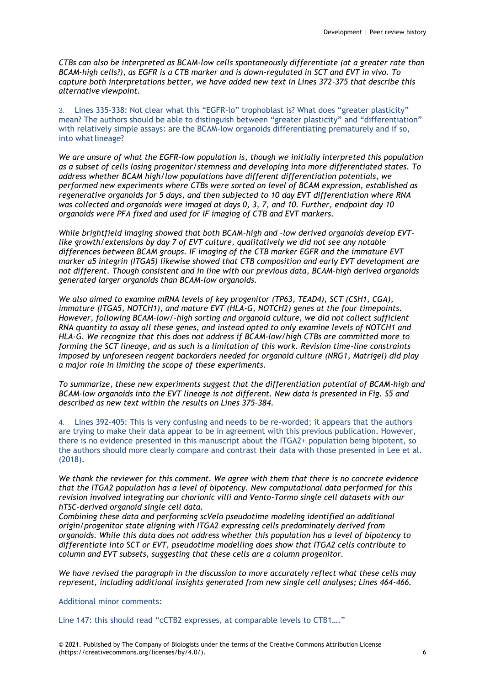*CTBs can also be interpreted as BCAM-low cells spontaneously differentiate (at a greater rate than BCAM-high cells?), as EGFR is a CTB marker and is down-regulated in SCT and EVT in vivo. To capture both interpretations better, we have added new text in Lines 372-375 that describe this alternative viewpoint.*

3. Lines 335-338: Not clear what this "EGFR-lo" trophoblast is? What does "greater plasticity" mean? The authors should be able to distinguish between "greater plasticity" and "differentiation" with relatively simple assays: are the BCAM-low organoids differentiating prematurely and if so, into what lineage?

*We are unsure of what the EGFR-low population is, though we initially interpreted this population as a subset of cells losing progenitor/stemness and developing into more differentiated states. To address whether BCAM high/low populations have different differentiation potentials, we performed new experiments where CTBs were sorted on level of BCAM expression, established as regenerative organoids for 5 days, and then subjected to 10 day EVT differentiation where RNA was collected and organoids were imaged at days 0, 3, 7, and 10. Further, endpoint day 10 organoids were PFA fixed and used for IF imaging of CTB and EVT markers.*

*While brightfield imaging showed that both BCAM-high and -low derived organoids develop EVTlike growth/extensions by day 7 of EVT culture, qualitatively we did not see any notable differences between BCAM groups. IF imaging of the CTB marker EGFR and the immature EVT marker α5 integrin (ITGA5) likewise showed that CTB composition and early EVT development are not different. Though consistent and in line with our previous data, BCAM-high derived organoids generated larger organoids than BCAM-low organoids.*

*We also aimed to examine mRNA levels of key progenitor (TP63, TEAD4), SCT (CSH1, CGA), immature (ITGA5, NOTCH1), and mature EVT (HLA-G, NOTCH2) genes at the four timepoints. However, following BCAM-low/-high sorting and organoid culture, we did not collect sufficient RNA quantity to assay all these genes, and instead opted to only examine levels of NOTCH1 and HLA-G. We recognize that this does not address if BCAM-low/high CTBs are committed more to forming the SCT lineage, and as such is a limitation of this work. Revision time-line constraints imposed by unforeseen reagent backorders needed for organoid culture (NRG1, Matrigel) did play a major role in limiting the scope of these experiments.*

*To summarize, these new experiments suggest that the differentiation potential of BCAM-high and BCAM-low organoids into the EVT lineage is not different. New data is presented in Fig. S5 and described as new text within the results on Lines 375-384.*

4. Lines 392-405: This is very confusing and needs to be re-worded; it appears that the authors are trying to make their data appear to be in agreement with this previous publication. However, there is no evidence presented in this manuscript about the ITGA2+ population being bipotent, so the authors should more clearly compare and contrast their data with those presented in Lee et al. (2018).

*We thank the reviewer for this comment. We agree with them that there is no concrete evidence that the ITGA2 population has a level of bipotency. New computational data performed for this revision involved integrating our chorionic villi and Vento-Tormo single cell datasets with our hTSC-derived organoid single cell data.*

*Combining these data and performing scVelo pseudotime modeling identified an additional origin/progenitor state aligning with ITGA2 expressing cells predominately derived from organoids. While this data does not address whether this population has a level of bipotency to differentiate into SCT or EVT, pseudotime modelling does show that ITGA2 cells contribute to column and EVT subsets, suggesting that these cells are a column progenitor.*

*We have revised the paragraph in the discussion to more accurately reflect what these cells may represent, including additional insights generated from new single cell analyses; Lines 464-466.*

# Additional minor comments:

Line 147: this should read "cCTB2 expresses, at comparable levels to CTB1…."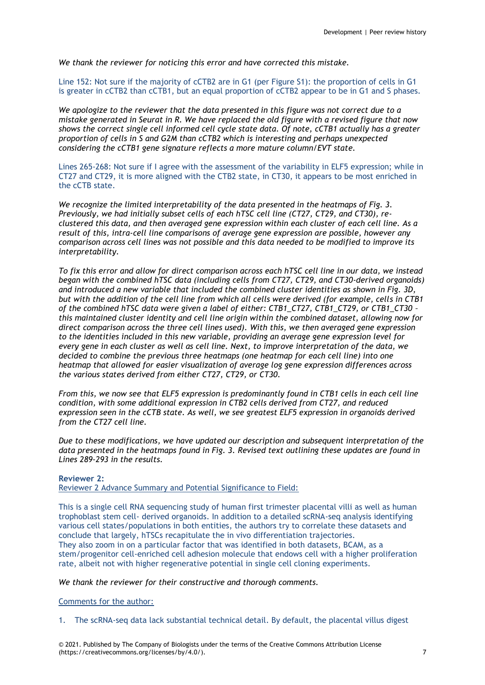*We thank the reviewer for noticing this error and have corrected this mistake.*

Line 152: Not sure if the majority of cCTB2 are in G1 (per Figure S1): the proportion of cells in G1 is greater in cCTB2 than cCTB1, but an equal proportion of cCTB2 appear to be in G1 and S phases.

*We apologize to the reviewer that the data presented in this figure was not correct due to a mistake generated in Seurat in R. We have replaced the old figure with a revised figure that now shows the correct single cell informed cell cycle state data. Of note, cCTB1 actually has a greater proportion of cells in S and G2M than cCTB2 which is interesting and perhaps unexpected considering the cCTB1 gene signature reflects a more mature column/EVT state.*

Lines 265-268: Not sure if I agree with the assessment of the variability in ELF5 expression; while in CT27 and CT29, it is more aligned with the CTB2 state, in CT30, it appears to be most enriched in the cCTB state.

*We recognize the limited interpretability of the data presented in the heatmaps of Fig. 3. Previously, we had initially subset cells of each hTSC cell line (CT27, CT29, and CT30), reclustered this data, and then averaged gene expression within each cluster of each cell line. As a result of this, intra-cell line comparisons of average gene expression are possible, however any comparison across cell lines was not possible and this data needed to be modified to improve its interpretability.*

*To fix this error and allow for direct comparison across each hTSC cell line in our data, we instead began with the combined hTSC data (including cells from CT27, CT29, and CT30-derived organoids) and introduced a new variable that included the combined cluster identities as shown in Fig. 3D, but with the addition of the cell line from which all cells were derived (for example, cells in CTB1 of the combined hTSC data were given a label of either: CTB1\_CT27, CTB1\_CT29, or CTB1\_CT30 – this maintained cluster identity and cell line origin within the combined dataset, allowing now for direct comparison across the three cell lines used). With this, we then averaged gene expression to the identities included in this new variable, providing an average gene expression level for every gene in each cluster as well as cell line. Next, to improve interpretation of the data, we decided to combine the previous three heatmaps (one heatmap for each cell line) into one heatmap that allowed for easier visualization of average log gene expression differences across the various states derived from either CT27, CT29, or CT30.*

*From this, we now see that ELF5 expression is predominantly found in CTB1 cells in each cell line condition, with some additional expression in CTB2 cells derived from CT27, and reduced expression seen in the cCTB state. As well, we see greatest ELF5 expression in organoids derived from the CT27 cell line.*

*Due to these modifications, we have updated our description and subsequent interpretation of the data presented in the heatmaps found in Fig. 3. Revised text outlining these updates are found in Lines 289-293 in the results.*

## **Reviewer 2:**

Reviewer 2 Advance Summary and Potential Significance to Field:

This is a single cell RNA sequencing study of human first trimester placental villi as well as human trophoblast stem cell- derived organoids. In addition to a detailed scRNA-seq analysis identifying various cell states/populations in both entities, the authors try to correlate these datasets and conclude that largely, hTSCs recapitulate the in vivo differentiation trajectories. They also zoom in on a particular factor that was identified in both datasets, BCAM, as a stem/progenitor cell-enriched cell adhesion molecule that endows cell with a higher proliferation rate, albeit not with higher regenerative potential in single cell cloning experiments.

# *We thank the reviewer for their constructive and thorough comments.*

#### Comments for the author:

1. The scRNA-seq data lack substantial technical detail. By default, the placental villus digest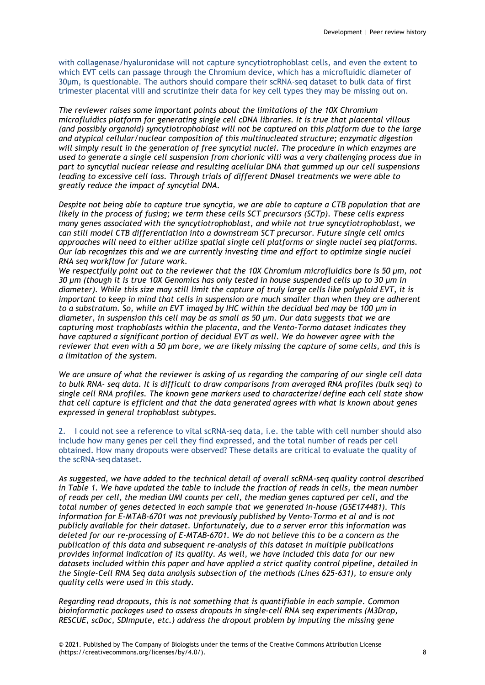with collagenase/hyaluronidase will not capture syncytiotrophoblast cells, and even the extent to which EVT cells can passage through the Chromium device, which has a microfluidic diameter of 30µm, is questionable. The authors should compare their scRNA-seq dataset to bulk data of first trimester placental villi and scrutinize their data for key cell types they may be missing out on.

*The reviewer raises some important points about the limitations of the 10X Chromium microfluidics platform for generating single cell cDNA libraries. It is true that placental villous (and possibly organoid) syncytiotrophoblast will not be captured on this platform due to the large and atypical cellular/nuclear composition of this multinucleated structure; enzymatic digestion will simply result in the generation of free syncytial nuclei. The procedure in which enzymes are used to generate a single cell suspension from chorionic villi was a very challenging process due in part to syncytial nuclear release and resulting acellular DNA that gummed up our cell suspensions leading to excessive cell loss. Through trials of different DNaseI treatments we were able to greatly reduce the impact of syncytial DNA.*

*Despite not being able to capture true syncytia, we are able to capture a CTB population that are likely in the process of fusing; we term these cells SCT precursors (SCTp). These cells express many genes associated with the syncytiotrophoblast, and while not true syncytiotrophoblast, we can still model CTB differentiation into a downstream SCT precursor. Future single cell omics approaches will need to either utilize spatial single cell platforms or single nuclei seq platforms. Our lab recognizes this and we are currently investing time and effort to optimize single nuclei RNA seq workflow for future work.*

*We respectfully point out to the reviewer that the 10X Chromium microfluidics bore is 50 μm, not 30 μm (though it is true 10X Genomics has only tested in house suspended cells up to 30 μm in diameter). While this size may still limit the capture of truly large cells like polyploid EVT, it is important to keep in mind that cells in suspension are much smaller than when they are adherent to a substratum. So, while an EVT imaged by IHC within the decidual bed may be 100 μm in diameter, in suspension this cell may be as small as 50 μm. Our data suggests that we are capturing most trophoblasts within the placenta, and the Vento-Tormo dataset indicates they have captured a significant portion of decidual EVT as well. We do however agree with the reviewer that even with a 50 μm bore, we are likely missing the capture of some cells, and this is a limitation of the system.*

*We are unsure of what the reviewer is asking of us regarding the comparing of our single cell data to bulk RNA- seq data. It is difficult to draw comparisons from averaged RNA profiles (bulk seq) to single cell RNA profiles. The known gene markers used to characterize/define each cell state show that cell capture is efficient and that the data generated agrees with what is known about genes expressed in general trophoblast subtypes.*

2. I could not see a reference to vital scRNA-seq data, i.e. the table with cell number should also include how many genes per cell they find expressed, and the total number of reads per cell obtained. How many dropouts were observed? These details are critical to evaluate the quality of the scRNA-seq dataset.

*As suggested, we have added to the technical detail of overall scRNA-seq quality control described in Table 1. We have updated the table to include the fraction of reads in cells, the mean number of reads per cell, the median UMI counts per cell, the median genes captured per cell, and the total number of genes detected in each sample that we generated in-house (GSE174481). This information for E-MTAB-6701 was not previously published by Vento-Tormo et al and is not publicly available for their dataset. Unfortunately, due to a server error this information was deleted for our re-processing of E-MTAB-6701. We do not believe this to be a concern as the publication of this data and subsequent re-analysis of this dataset in multiple publications provides informal indication of its quality. As well, we have included this data for our new datasets included within this paper and have applied a strict quality control pipeline, detailed in the Single-Cell RNA Seq data analysis subsection of the methods (Lines 625-631), to ensure only quality cells were used in this study.*

*Regarding read dropouts, this is not something that is quantifiable in each sample. Common bioinformatic packages used to assess dropouts in single-cell RNA seq experiments (M3Drop, RESCUE, scDoc, SDImpute, etc.) address the dropout problem by imputing the missing gene*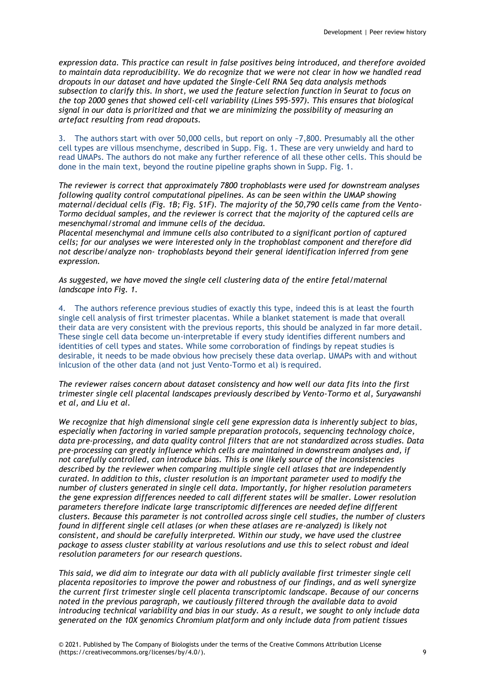*expression data. This practice can result in false positives being introduced, and therefore avoided to maintain data reproducibility. We do recognize that we were not clear in how we handled read dropouts in our dataset and have updated the Single-Cell RNA Seq data analysis methods subsection to clarify this. In short, we used the feature selection function in Seurat to focus on the top 2000 genes that showed cell-cell variability (Lines 595-597). This ensures that biological signal in our data is prioritized and that we are minimizing the possibility of measuring an artefact resulting from read dropouts.*

3. The authors start with over 50,000 cells, but report on only ~7,800. Presumably all the other cell types are villous msenchyme, described in Supp. Fig. 1. These are very unwieldy and hard to read UMAPs. The authors do not make any further reference of all these other cells. This should be done in the main text, beyond the routine pipeline graphs shown in Supp. Fig. 1.

*The reviewer is correct that approximately 7800 trophoblasts were used for downstream analyses following quality control computational pipelines. As can be seen within the UMAP showing maternal/decidual cells (Fig. 1B; Fig. S1F). The majority of the 50,790 cells came from the Vento-Tormo decidual samples, and the reviewer is correct that the majority of the captured cells are mesenchymal/stromal and immune cells of the decidua.*

*Placental mesenchymal and immune cells also contributed to a significant portion of captured cells; for our analyses we were interested only in the trophoblast component and therefore did not describe/analyze non- trophoblasts beyond their general identification inferred from gene expression.*

*As suggested, we have moved the single cell clustering data of the entire fetal/maternal landscape into Fig. 1.*

4. The authors reference previous studies of exactly this type, indeed this is at least the fourth single cell analysis of first trimester placentas. While a blanket statement is made that overall their data are very consistent with the previous reports, this should be analyzed in far more detail. These single cell data become un-interpretable if every study identifies different numbers and identities of cell types and states. While some corroboration of findings by repeat studies is desirable, it needs to be made obvious how precisely these data overlap. UMAPs with and without inlcusion of the other data (and not just Vento-Tormo et al) is required.

*The reviewer raises concern about dataset consistency and how well our data fits into the first trimester single cell placental landscapes previously described by Vento-Tormo et al, Suryawanshi et al, and Liu et al.*

*We recognize that high dimensional single cell gene expression data is inherently subject to bias, especially when factoring in varied sample preparation protocols, sequencing technology choice, data pre-processing, and data quality control filters that are not standardized across studies. Data pre-processing can greatly influence which cells are maintained in downstream analyses and, if not carefully controlled, can introduce bias. This is one likely source of the inconsistencies described by the reviewer when comparing multiple single cell atlases that are independently curated. In addition to this, cluster resolution is an important parameter used to modify the number of clusters generated in single cell data. Importantly, for higher resolution parameters the gene expression differences needed to call different states will be smaller. Lower resolution parameters therefore indicate large transcriptomic differences are needed define different clusters. Because this parameter is not controlled across single cell studies, the number of clusters found in different single cell atlases (or when these atlases are re-analyzed) is likely not consistent, and should be carefully interpreted. Within our study, we have used the clustree package to assess cluster stability at various resolutions and use this to select robust and ideal resolution parameters for our research questions.*

*This said, we did aim to integrate our data with all publicly available first trimester single cell placenta repositories to improve the power and robustness of our findings, and as well synergize the current first trimester single cell placenta transcriptomic landscape. Because of our concerns noted in the previous paragraph, we cautiously filtered through the available data to avoid introducing technical variability and bias in our study. As a result, we sought to only include data generated on the 10X genomics Chromium platform and only include data from patient tissues*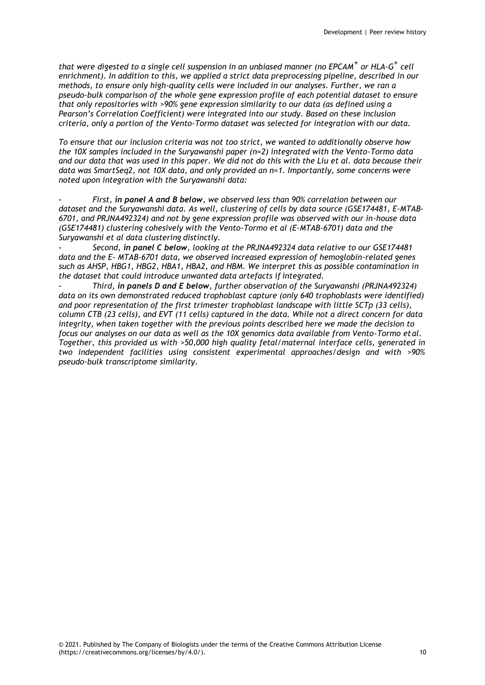*that were digested to a single cell suspension in an unbiased manner (no EPCAM+ or HLA-G + cell enrichment). In addition to this, we applied a strict data preprocessing pipeline, described in our methods, to ensure only high-quality cells were included in our analyses. Further, we ran a pseudo-bulk comparison of the whole gene expression profile of each potential dataset to ensure that only repositories with >90% gene expression similarity to our data (as defined using a Pearson's Correlation Coefficient) were integrated into our study. Based on these inclusion criteria, only a portion of the Vento-Tormo dataset was selected for integration with our data.*

*To ensure that our inclusion criteria was not too strict, we wanted to additionally observe how the 10X samples included in the Suryawanshi paper (n=2) integrated with the Vento-Tormo data and our data that was used in this paper. We did not do this with the Liu et al. data because their data was SmartSeq2, not 10X data, and only provided an n=1. Importantly, some concerns were noted upon integration with the Suryawanshi data:*

- *First, in panel A and B below, we observed less than 90% correlation between our dataset and the Suryawanshi data. As well, clustering of cells by data source (GSE174481, E-MTAB-6701, and PRJNA492324) and not by gene expression profile was observed with our in-house data (GSE174481) clustering cohesively with the Vento-Tormo et al (E-MTAB-6701) data and the Suryawanshi et al data clustering distinctly.*

- *Second, in panel C below, looking at the PRJNA492324 data relative to our GSE174481 data and the E- MTAB-6701 data, we observed increased expression of hemoglobin-related genes such as AHSP, HBG1, HBG2, HBA1, HBA2, and HBM. We interpret this as possible contamination in the dataset that could introduce unwanted data artefacts if integrated.*

- *Third, in panels D and E below, further observation of the Suryawanshi (PRJNA492324) data on its own demonstrated reduced trophoblast capture (only 640 trophoblasts were identified) and poor representation of the first trimester trophoblast landscape with little SCTp (33 cells), column CTB (23 cells), and EVT (11 cells) captured in the data. While not a direct concern for data integrity, when taken together with the previous points described here we made the decision to focus our analyses on our data as well as the 10X genomics data available from Vento-Tormo etal. Together, this provided us with >50,000 high quality fetal/maternal interface cells, generated in two independent facilities using consistent experimental approaches/design and with >90% pseudo-bulk transcriptome similarity.*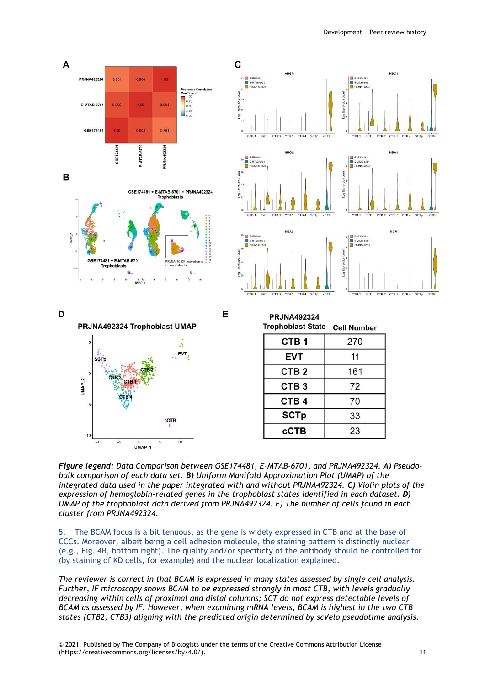

*Figure legend: Data Comparison between GSE174481, E-MTAB-6701, and PRJNA492324. A) Pseudobulk comparison of each data set. B) Uniform Manifold Approximation Plot (UMAP) of the integrated data used in the paper integrated with and without PRJNA492324. C) Violin plots of the expression of hemoglobin-related genes in the trophoblast states identified in each dataset. D) UMAP of the trophoblast data derived from PRJNA492324. E) The number of cells found in each cluster from PRJNA492324.*

The BCAM focus is a bit tenuous, as the gene is widely expressed in CTB and at the base of CCCs. Moreover, albeit being a cell adhesion molecule, the staining pattern is distinctly nuclear (e.g., Fig. 4B, bottom right). The quality and/or specificty of the antibody should be controlled for (by staining of KD cells, for example) and the nuclear localization explained.

*The reviewer is correct in that BCAM is expressed in many states assessed by single cell analysis. Further, IF microscopy shows BCAM to be expressed strongly in most CTB, with levels gradually decreasing within cells of proximal and distal columns; SCT do not express detectable levels of BCAM as assessed by IF. However, when examining mRNA levels, BCAM is highest in the two CTB states (CTB2, CTB3) aligning with the predicted origin determined by scVelo pseudotime analysis.*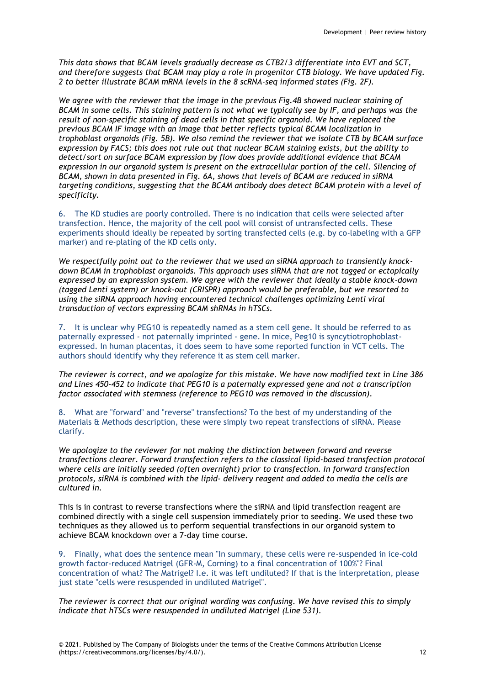*This data shows that BCAM levels gradually decrease as CTB2/3 differentiate into EVT and SCT, and therefore suggests that BCAM may play a role in progenitor CTB biology. We have updated Fig. 2 to better illustrate BCAM mRNA levels in the 8 scRNA-seq informed states (Fig. 2F).*

*We agree with the reviewer that the image in the previous Fig.4B showed nuclear staining of BCAM in some cells. This staining pattern is not what we typically see by IF, and perhaps was the result of non-specific staining of dead cells in that specific organoid. We have replaced the previous BCAM IF image with an image that better reflects typical BCAM localization in trophoblast organoids (Fig. 5B). We also remind the reviewer that we isolate CTB by BCAM surface expression by FACS; this does not rule out that nuclear BCAM staining exists, but the ability to detect/sort on surface BCAM expression by flow does provide additional evidence that BCAM expression in our organoid system is present on the extracellular portion of the cell. Silencing of BCAM, shown in data presented in Fig. 6A, shows that levels of BCAM are reduced in siRNA targeting conditions, suggesting that the BCAM antibody does detect BCAM protein with a level of specificity.*

6. The KD studies are poorly controlled. There is no indication that cells were selected after transfection. Hence, the majority of the cell pool will consist of untransfected cells. These experiments should ideally be repeated by sorting transfected cells (e.g. by co-labeling with a GFP marker) and re-plating of the KD cells only.

*We respectfully point out to the reviewer that we used an siRNA approach to transiently knockdown BCAM in trophoblast organoids. This approach uses siRNA that are not tagged or ectopically expressed by an expression system. We agree with the reviewer that ideally a stable knock-down (tagged Lenti system) or knock-out (CRISPR) approach would be preferable, but we resorted to using the siRNA approach having encountered technical challenges optimizing Lenti viral transduction of vectors expressing BCAM shRNAs in hTSCs.*

7. It is unclear why PEG10 is repeatedly named as a stem cell gene. It should be referred to as paternally expressed - not paternally imprinted - gene. In mice, Peg10 is syncytiotrophoblastexpressed. In human placentas, it does seem to have some reported function in VCT cells. The authors should identify why they reference it as stem cell marker.

*The reviewer is correct, and we apologize for this mistake. We have now modified text in Line 386 and Lines 450-452 to indicate that PEG10 is a paternally expressed gene and not a transcription factor associated with stemness (reference to PEG10 was removed in the discussion).*

8. What are "forward" and "reverse" transfections? To the best of my understanding of the Materials & Methods description, these were simply two repeat transfections of siRNA. Please clarify.

*We apologize to the reviewer for not making the distinction between forward and reverse transfections clearer. Forward transfection refers to the classical lipid-based transfection protocol where cells are initially seeded (often overnight) prior to transfection. In forward transfection protocols, siRNA is combined with the lipid- delivery reagent and added to media the cells are cultured in.*

This is in contrast to reverse transfections where the siRNA and lipid transfection reagent are combined directly with a single cell suspension immediately prior to seeding. We used these two techniques as they allowed us to perform sequential transfections in our organoid system to achieve BCAM knockdown over a 7-day time course.

9. Finally, what does the sentence mean "In summary, these cells were re-suspended in ice-cold growth factor-reduced Matrigel (GFR-M, Corning) to a final concentration of 100%"? Final concentration of what? The Matrigel? I.e. it was left undiluted? If that is the interpretation, please just state "cells were resuspended in undiluted Matrigel".

*The reviewer is correct that our original wording was confusing. We have revised this to simply indicate that hTSCs were resuspended in undiluted Matrigel (Line 531).*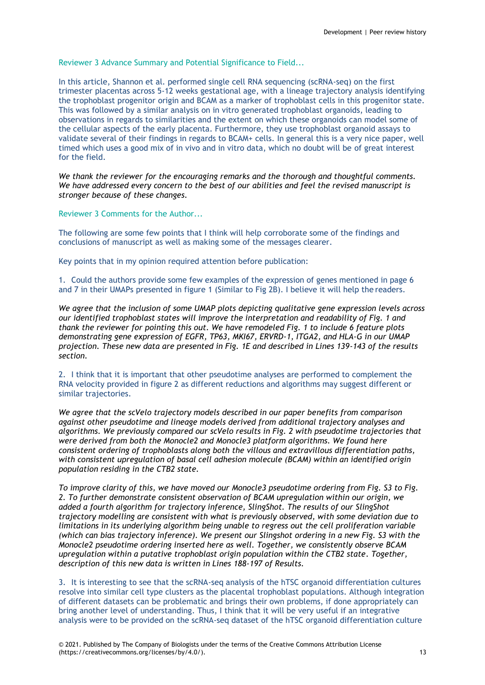Reviewer 3 Advance Summary and Potential Significance to Field...

In this article, Shannon et al. performed single cell RNA sequencing (scRNA-seq) on the first trimester placentas across 5-12 weeks gestational age, with a lineage trajectory analysis identifying the trophoblast progenitor origin and BCAM as a marker of trophoblast cells in this progenitor state. This was followed by a similar analysis on in vitro generated trophoblast organoids, leading to observations in regards to similarities and the extent on which these organoids can model some of the cellular aspects of the early placenta. Furthermore, they use trophoblast organoid assays to validate several of their findings in regards to BCAM+ cells. In general this is a very nice paper, well timed which uses a good mix of in vivo and in vitro data, which no doubt will be of great interest for the field.

*We thank the reviewer for the encouraging remarks and the thorough and thoughtful comments. We have addressed every concern to the best of our abilities and feel the revised manuscript is stronger because of these changes.*

Reviewer 3 Comments for the Author...

The following are some few points that I think will help corroborate some of the findings and conclusions of manuscript as well as making some of the messages clearer.

Key points that in my opinion required attention before publication:

1. Could the authors provide some few examples of the expression of genes mentioned in page 6 and 7 in their UMAPs presented in figure 1 (Similar to Fig 2B). I believe it will help the readers.

*We agree that the inclusion of some UMAP plots depicting qualitative gene expression levels across our identified trophoblast states will improve the interpretation and readability of Fig. 1 and thank the reviewer for pointing this out. We have remodeled Fig. 1 to include 6 feature plots demonstrating gene expression of EGFR, TP63, MKI67, ERVRD-1, ITGA2, and HLA-G in our UMAP projection. These new data are presented in Fig. 1E and described in Lines 139-143 of the results section.*

2. I think that it is important that other pseudotime analyses are performed to complement the RNA velocity provided in figure 2 as different reductions and algorithms may suggest different or similar trajectories.

*We agree that the scVelo trajectory models described in our paper benefits from comparison against other pseudotime and lineage models derived from additional trajectory analyses and algorithms. We previously compared our scVelo results in Fig. 2 with pseudotime trajectories that were derived from both the Monocle2 and Monocle3 platform algorithms. We found here consistent ordering of trophoblasts along both the villous and extravillous differentiation paths, with consistent upregulation of basal cell adhesion molecule (BCAM) within an identified origin population residing in the CTB2 state.*

*To improve clarity of this, we have moved our Monocle3 pseudotime ordering from Fig. S3 to Fig. 2. To further demonstrate consistent observation of BCAM upregulation within our origin, we added a fourth algorithm for trajectory inference, SlingShot. The results of our SlingShot trajectory modelling are consistent with what is previously observed, with some deviation due to limitations in its underlying algorithm being unable to regress out the cell proliferation variable (which can bias trajectory inference). We present our Slingshot ordering in a new Fig. S3 with the Monocle2 pseudotime ordering inserted here as well. Together, we consistently observe BCAM upregulation within a putative trophoblast origin population within the CTB2 state. Together, description of this new data is written in Lines 188-197 of Results.*

3. It is interesting to see that the scRNA-seq analysis of the hTSC organoid differentiation cultures resolve into similar cell type clusters as the placental trophoblast populations. Although integration of different datasets can be problematic and brings their own problems, if done appropriately can bring another level of understanding. Thus, I think that it will be very useful if an integrative analysis were to be provided on the scRNA-seq dataset of the hTSC organoid differentiation culture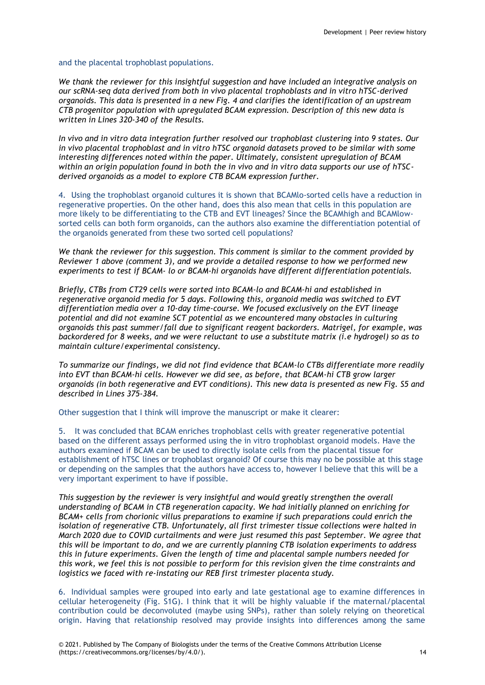and the placental trophoblast populations.

*We thank the reviewer for this insightful suggestion and have included an integrative analysis on our scRNA-seq data derived from both in vivo placental trophoblasts and in vitro hTSC-derived organoids. This data is presented in a new Fig. 4 and clarifies the identification of an upstream CTB progenitor population with upregulated BCAM expression. Description of this new data is written in Lines 320-340 of the Results.*

*In vivo and in vitro data integration further resolved our trophoblast clustering into 9 states. Our in vivo placental trophoblast and in vitro hTSC organoid datasets proved to be similar with some interesting differences noted within the paper. Ultimately, consistent upregulation of BCAM within an origin population found in both the in vivo and in vitro data supports our use of hTSCderived organoids as a model to explore CTB BCAM expression further.*

4. Using the trophoblast organoid cultures it is shown that BCAMlo-sorted cells have a reduction in regenerative properties. On the other hand, does this also mean that cells in this population are more likely to be differentiating to the CTB and EVT lineages? Since the BCAMhigh and BCAMlowsorted cells can both form organoids, can the authors also examine the differentiation potential of the organoids generated from these two sorted cell populations?

*We thank the reviewer for this suggestion. This comment is similar to the comment provided by Reviewer 1 above (comment 3), and we provide a detailed response to how we performed new experiments to test if BCAM- lo or BCAM-hi organoids have different differentiation potentials.*

*Briefly, CTBs from CT29 cells were sorted into BCAM-lo and BCAM-hi and established in regenerative organoid media for 5 days. Following this, organoid media was switched to EVT differentiation media over a 10-day time-course. We focused exclusively on the EVT lineage potential and did not examine SCT potential as we encountered many obstacles in culturing organoids this past summer/fall due to significant reagent backorders. Matrigel, for example, was backordered for 8 weeks, and we were reluctant to use a substitute matrix (i.e hydrogel) so as to maintain culture/experimental consistency.*

*To summarize our findings, we did not find evidence that BCAM-lo CTBs differentiate more readily into EVT than BCAM-hi cells. However we did see, as before, that BCAM-hi CTB grow larger organoids (in both regenerative and EVT conditions). This new data is presented as new Fig. S5 and described in Lines 375-384.*

Other suggestion that I think will improve the manuscript or make it clearer:

5. It was concluded that BCAM enriches trophoblast cells with greater regenerative potential based on the different assays performed using the in vitro trophoblast organoid models. Have the authors examined if BCAM can be used to directly isolate cells from the placental tissue for establishment of hTSC lines or trophoblast organoid? Of course this may no be possible at this stage or depending on the samples that the authors have access to, however I believe that this will be a very important experiment to have if possible.

*This suggestion by the reviewer is very insightful and would greatly strengthen the overall understanding of BCAM in CTB regeneration capacity. We had initially planned on enriching for BCAM+ cells from chorionic villus preparations to examine if such preparations could enrich the isolation of regenerative CTB. Unfortunately, all first trimester tissue collections were halted in March 2020 due to COVID curtailments and were just resumed this past September. We agree that this will be important to do, and we are currently planning CTB isolation experiments to address this in future experiments. Given the length of time and placental sample numbers needed for this work, we feel this is not possible to perform for this revision given the time constraints and logistics we faced with re-instating our REB first trimester placenta study.*

6. Individual samples were grouped into early and late gestational age to examine differences in cellular heterogeneity (Fig. S1G). I think that it will be highly valuable if the maternal/placental contribution could be deconvoluted (maybe using SNPs), rather than solely relying on theoretical origin. Having that relationship resolved may provide insights into differences among the same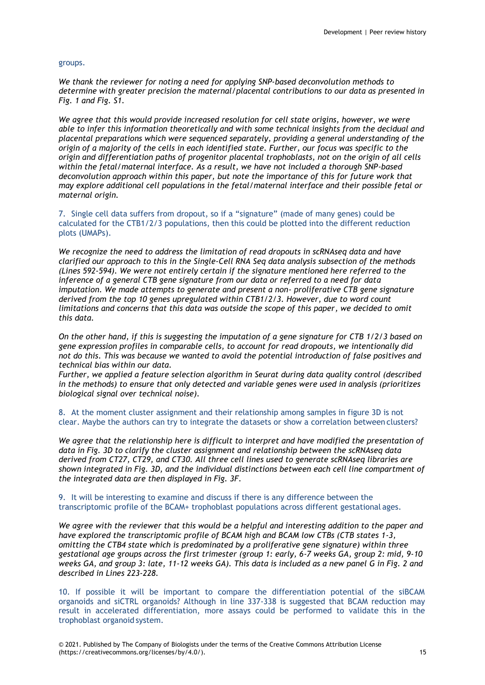#### groups.

*We thank the reviewer for noting a need for applying SNP-based deconvolution methods to determine with greater precision the maternal/placental contributions to our data as presented in Fig. 1 and Fig. S1.*

*We agree that this would provide increased resolution for cell state origins, however, we were able to infer this information theoretically and with some technical insights from the decidual and placental preparations which were sequenced separately, providing a general understanding of the origin of a majority of the cells in each identified state. Further, our focus was specific to the origin and differentiation paths of progenitor placental trophoblasts, not on the origin of all cells within the fetal/maternal interface. As a result, we have not included a thorough SNP-based deconvolution approach within this paper, but note the importance of this for future work that may explore additional cell populations in the fetal/maternal interface and their possible fetal or maternal origin.*

7. Single cell data suffers from dropout, so if a "signature" (made of many genes) could be calculated for the CTB1/2/3 populations, then this could be plotted into the different reduction plots (UMAPs).

*We recognize the need to address the limitation of read dropouts in scRNAseq data and have clarified our approach to this in the Single-Cell RNA Seq data analysis subsection of the methods (Lines 592-594). We were not entirely certain if the signature mentioned here referred to the inference of a general CTB gene signature from our data or referred to a need for data imputation. We made attempts to generate and present a non- proliferative CTB gene signature derived from the top 10 genes upregulated within CTB1/2/3. However, due to word count limitations and concerns that this data was outside the scope of this paper, we decided to omit this data.*

*On the other hand, if this is suggesting the imputation of a gene signature for CTB 1/2/3 based on gene expression profiles in comparable cells, to account for read dropouts, we intentionally did not do this. This was because we wanted to avoid the potential introduction of false positives and technical bias within our data.*

*Further, we applied a feature selection algorithm in Seurat during data quality control (described in the methods) to ensure that only detected and variable genes were used in analysis (prioritizes biological signal over technical noise).*

8. At the moment cluster assignment and their relationship among samples in figure 3D is not clear. Maybe the authors can try to integrate the datasets or show a correlation between clusters?

*We agree that the relationship here is difficult to interpret and have modified the presentation of data in Fig. 3D to clarify the cluster assignment and relationship between the scRNAseq data derived from CT27, CT29, and CT30. All three cell lines used to generate scRNAseq libraries are shown integrated in Fig. 3D, and the individual distinctions between each cell line compartment of the integrated data are then displayed in Fig. 3F.*

9. It will be interesting to examine and discuss if there is any difference between the transcriptomic profile of the BCAM+ trophoblast populations across different gestational ages.

*We agree with the reviewer that this would be a helpful and interesting addition to the paper and have explored the transcriptomic profile of BCAM high and BCAM low CTBs (CTB states 1-3, omitting the CTB4 state which is predominated by a proliferative gene signature) within three gestational age groups across the first trimester (group 1: early, 6-7 weeks GA, group 2: mid, 9-10 weeks GA, and group 3: late, 11-12 weeks GA). This data is included as a new panel G in Fig. 2 and described in Lines 223-228.*

10. If possible it will be important to compare the differentiation potential of the siBCAM organoids and siCTRL organoids? Although in line 337-338 is suggested that BCAM reduction may result in accelerated differentiation, more assays could be performed to validate this in the trophoblast organoid system.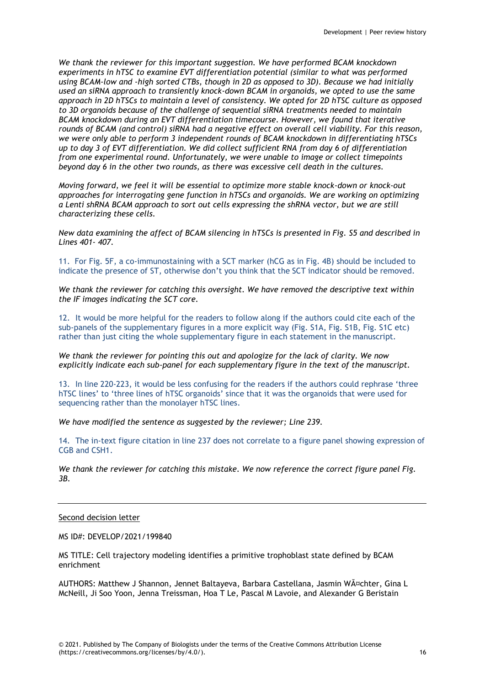*We thank the reviewer for this important suggestion. We have performed BCAM knockdown experiments in hTSC to examine EVT differentiation potential (similar to what was performed using BCAM-low and -high sorted CTBs, though in 2D as opposed to 3D). Because we had initially used an siRNA approach to transiently knock-down BCAM in organoids, we opted to use the same approach in 2D hTSCs to maintain a level of consistency. We opted for 2D hTSC culture as opposed to 3D organoids because of the challenge of sequential siRNA treatments needed to maintain BCAM knockdown during an EVT differentiation timecourse. However, we found that iterative rounds of BCAM (and control) siRNA had a negative effect on overall cell viability. For this reason, we were only able to perform 3 independent rounds of BCAM knockdown in differentiating hTSCs up to day 3 of EVT differentiation. We did collect sufficient RNA from day 6 of differentiation from one experimental round. Unfortunately, we were unable to image or collect timepoints beyond day 6 in the other two rounds, as there was excessive cell death in the cultures.*

*Moving forward, we feel it will be essential to optimize more stable knock-down or knock-out approaches for interrogating gene function in hTSCs and organoids. We are working on optimizing a Lenti shRNA BCAM approach to sort out cells expressing the shRNA vector, but we are still characterizing these cells.*

*New data examining the affect of BCAM silencing in hTSCs is presented in Fig. S5 and described in Lines 401- 407.*

11. For Fig. 5F, a co-immunostaining with a SCT marker (hCG as in Fig. 4B) should be included to indicate the presence of ST, otherwise don't you think that the SCT indicator should be removed.

*We thank the reviewer for catching this oversight. We have removed the descriptive text within the IF images indicating the SCT core.*

12. It would be more helpful for the readers to follow along if the authors could cite each of the sub-panels of the supplementary figures in a more explicit way (Fig. S1A, Fig. S1B, Fig. S1C etc) rather than just citing the whole supplementary figure in each statement in the manuscript.

*We thank the reviewer for pointing this out and apologize for the lack of clarity. We now explicitly indicate each sub-panel for each supplementary figure in the text of the manuscript.*

13. In line 220-223, it would be less confusing for the readers if the authors could rephrase 'three hTSC lines' to 'three lines of hTSC organoids' since that it was the organoids that were used for sequencing rather than the monolayer hTSC lines.

*We have modified the sentence as suggested by the reviewer; Line 239.*

14. The in-text figure citation in line 237 does not correlate to a figure panel showing expression of CGB and CSH1.

*We thank the reviewer for catching this mistake. We now reference the correct figure panel Fig. 3B.*

Second decision letter

MS ID#: DEVELOP/2021/199840

MS TITLE: Cell trajectory modeling identifies a primitive trophoblast state defined by BCAM enrichment

AUTHORS: Matthew J Shannon, Jennet Baltayeva, Barbara Castellana, Jasmin Wächter. Gina L McNeill, Ji Soo Yoon, Jenna Treissman, Hoa T Le, Pascal M Lavoie, and Alexander G Beristain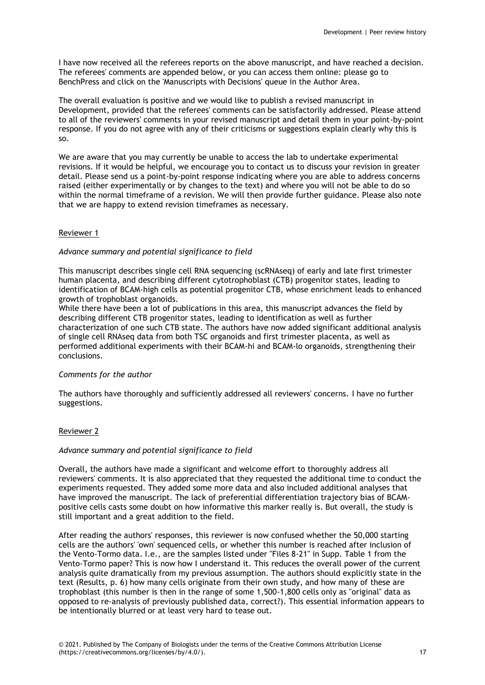I have now received all the referees reports on the above manuscript, and have reached a decision. The referees' comments are appended below, or you can access them online: please go to BenchPress and click on the 'Manuscripts with Decisions' queue in the Author Area.

The overall evaluation is positive and we would like to publish a revised manuscript in Development, provided that the referees' comments can be satisfactorily addressed. Please attend to all of the reviewers' comments in your revised manuscript and detail them in your point-by-point response. If you do not agree with any of their criticisms or suggestions explain clearly why this is so.

We are aware that you may currently be unable to access the lab to undertake experimental revisions. If it would be helpful, we encourage you to contact us to discuss your revision in greater detail. Please send us a point-by-point response indicating where you are able to address concerns raised (either experimentally or by changes to the text) and where you will not be able to do so within the normal timeframe of a revision. We will then provide further guidance. Please also note that we are happy to extend revision timeframes as necessary.

## Reviewer 1

## *Advance summary and potential significance to field*

This manuscript describes single cell RNA sequencing (scRNAseq) of early and late first trimester human placenta, and describing different cytotrophoblast (CTB) progenitor states, leading to identification of BCAM-high cells as potential progenitor CTB, whose enrichment leads to enhanced growth of trophoblast organoids.

While there have been a lot of publications in this area, this manuscript advances the field by describing different CTB progenitor states, leading to identification as well as further characterization of one such CTB state. The authors have now added significant additional analysis of single cell RNAseq data from both TSC organoids and first trimester placenta, as well as performed additional experiments with their BCAM-hi and BCAM-lo organoids, strengthening their conclusions.

## *Comments for the author*

The authors have thoroughly and sufficiently addressed all reviewers' concerns. I have no further suggestions.

## Reviewer 2

# *Advance summary and potential significance to field*

Overall, the authors have made a significant and welcome effort to thoroughly address all reviewers' comments. It is also appreciated that they requested the additional time to conduct the experiments requested. They added some more data and also included additional analyses that have improved the manuscript. The lack of preferential differentiation trajectory bias of BCAMpositive cells casts some doubt on how informative this marker really is. But overall, the study is still important and a great addition to the field.

After reading the authors' responses, this reviewer is now confused whether the 50,000 starting cells are the authors' 'own' sequenced cells, or whether this number is reached after inclusion of the Vento-Tormo data. I.e., are the samples listed under "Files 8-21" in Supp. Table 1 from the Vento-Tormo paper? This is now how I understand it. This reduces the overall power of the current analysis quite dramatically from my previous assumption. The authors should explicitly state in the text (Results, p. 6) how many cells originate from their own study, and how many of these are trophoblast (this number is then in the range of some 1,500-1,800 cells only as "original" data as opposed to re-analysis of previously published data, correct?). This essential information appears to be intentionally blurred or at least very hard to tease out.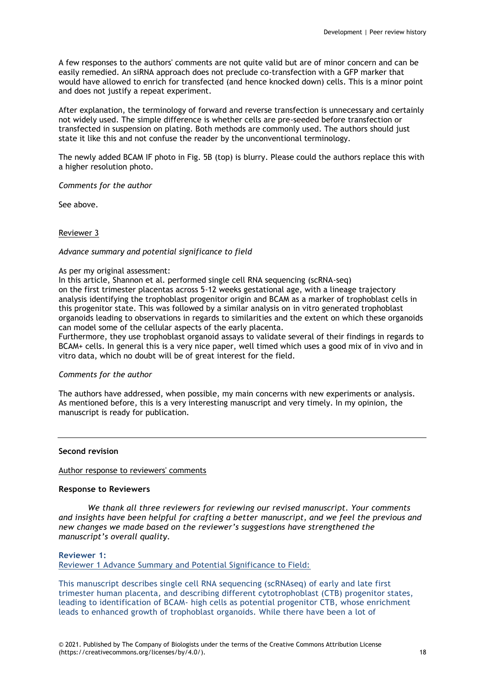A few responses to the authors' comments are not quite valid but are of minor concern and can be easily remedied. An siRNA approach does not preclude co-transfection with a GFP marker that would have allowed to enrich for transfected (and hence knocked down) cells. This is a minor point and does not justify a repeat experiment.

After explanation, the terminology of forward and reverse transfection is unnecessary and certainly not widely used. The simple difference is whether cells are pre-seeded before transfection or transfected in suspension on plating. Both methods are commonly used. The authors should just state it like this and not confuse the reader by the unconventional terminology.

The newly added BCAM IF photo in Fig. 5B (top) is blurry. Please could the authors replace this with a higher resolution photo.

*Comments for the author*

See above.

#### Reviewer 3

#### *Advance summary and potential significance to field*

#### As per my original assessment:

In this article, Shannon et al. performed single cell RNA sequencing (scRNA-seq) on the first trimester placentas across 5-12 weeks gestational age, with a lineage trajectory analysis identifying the trophoblast progenitor origin and BCAM as a marker of trophoblast cells in this progenitor state. This was followed by a similar analysis on in vitro generated trophoblast organoids leading to observations in regards to similarities and the extent on which these organoids can model some of the cellular aspects of the early placenta.

Furthermore, they use trophoblast organoid assays to validate several of their findings in regards to BCAM+ cells. In general this is a very nice paper, well timed which uses a good mix of in vivo and in vitro data, which no doubt will be of great interest for the field.

#### *Comments for the author*

The authors have addressed, when possible, my main concerns with new experiments or analysis. As mentioned before, this is a very interesting manuscript and very timely. In my opinion, the manuscript is ready for publication.

#### **Second revision**

#### Author response to reviewers' comments

#### **Response to Reviewers**

*We thank all three reviewers for reviewing our revised manuscript. Your comments and insights have been helpful for crafting a better manuscript, and we feel the previous and new changes we made based on the reviewer's suggestions have strengthened the manuscript's overall quality.*

## **Reviewer 1:**

Reviewer 1 Advance Summary and Potential Significance to Field:

This manuscript describes single cell RNA sequencing (scRNAseq) of early and late first trimester human placenta, and describing different cytotrophoblast (CTB) progenitor states, leading to identification of BCAM- high cells as potential progenitor CTB, whose enrichment leads to enhanced growth of trophoblast organoids. While there have been a lot of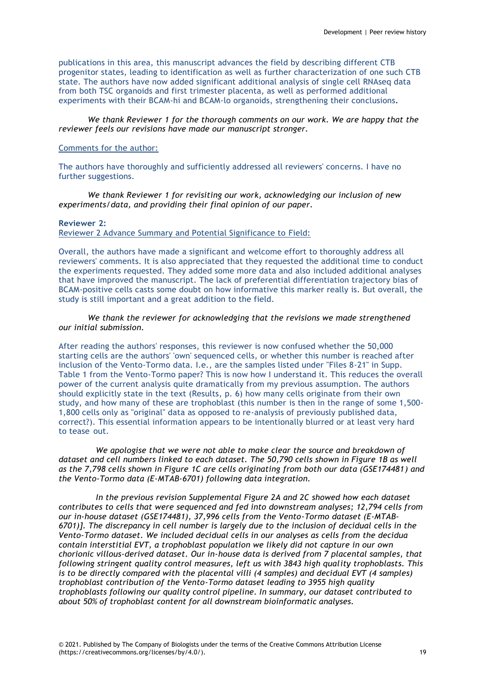publications in this area, this manuscript advances the field by describing different CTB progenitor states, leading to identification as well as further characterization of one such CTB state. The authors have now added significant additional analysis of single cell RNAseq data from both TSC organoids and first trimester placenta, as well as performed additional experiments with their BCAM-hi and BCAM-lo organoids, strengthening their conclusions.

*We thank Reviewer 1 for the thorough comments on our work. We are happy that the reviewer feels our revisions have made our manuscript stronger.*

## Comments for the author:

The authors have thoroughly and sufficiently addressed all reviewers' concerns. I have no further suggestions.

*We thank Reviewer 1 for revisiting our work, acknowledging our inclusion of new experiments/data, and providing their final opinion of our paper.*

## **Reviewer 2:**

Reviewer 2 Advance Summary and Potential Significance to Field:

Overall, the authors have made a significant and welcome effort to thoroughly address all reviewers' comments. It is also appreciated that they requested the additional time to conduct the experiments requested. They added some more data and also included additional analyses that have improved the manuscript. The lack of preferential differentiation trajectory bias of BCAM-positive cells casts some doubt on how informative this marker really is. But overall, the study is still important and a great addition to the field.

## *We thank the reviewer for acknowledging that the revisions we made strengthened our initial submission.*

After reading the authors' responses, this reviewer is now confused whether the 50,000 starting cells are the authors' 'own' sequenced cells, or whether this number is reached after inclusion of the Vento-Tormo data. I.e., are the samples listed under "Files 8-21" in Supp. Table 1 from the Vento-Tormo paper? This is now how I understand it. This reduces the overall power of the current analysis quite dramatically from my previous assumption. The authors should explicitly state in the text (Results, p. 6) how many cells originate from their own study, and how many of these are trophoblast (this number is then in the range of some 1,500- 1,800 cells only as "original" data as opposed to re-analysis of previously published data, correct?). This essential information appears to be intentionally blurred or at least very hard to tease out.

*We apologise that we were not able to make clear the source and breakdown of dataset and cell numbers linked to each dataset. The 50,790 cells shown in Figure 1B as well as the 7,798 cells shown in Figure 1C are cells originating from both our data (GSE174481) and the Vento-Tormo data (E-MTAB-6701) following data integration.*

*In the previous revision Supplemental Figure 2A and 2C showed how each dataset contributes to cells that were sequenced and fed into downstream analyses; 12,794 cells from our in-house dataset (GSE174481), 37,996 cells from the Vento-Tormo dataset (E-MTAB-6701)]. The discrepancy in cell number is largely due to the inclusion of decidual cells in the Vento-Tormo dataset. We included decidual cells in our analyses as cells from the decidua contain interstitial EVT, a trophoblast population we likely did not capture in our own chorionic villous-derived dataset. Our in-house data is derived from 7 placental samples, that following stringent quality control measures, left us with 3843 high quality trophoblasts. This is to be directly compared with the placental villi (4 samples) and decidual EVT (4 samples) trophoblast contribution of the Vento-Tormo dataset leading to 3955 high quality trophoblasts following our quality control pipeline. In summary, our dataset contributed to about 50% of trophoblast content for all downstream bioinformatic analyses.*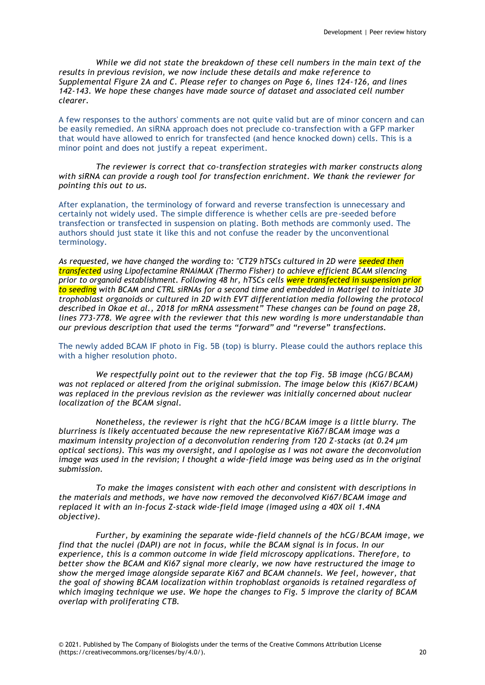*While we did not state the breakdown of these cell numbers in the main text of the results in previous revision, we now include these details and make reference to Supplemental Figure 2A and C. Please refer to changes on Page 6, lines 124-126, and lines 142-143. We hope these changes have made source of dataset and associated cell number clearer.*

A few responses to the authors' comments are not quite valid but are of minor concern and can be easily remedied. An siRNA approach does not preclude co-transfection with a GFP marker that would have allowed to enrich for transfected (and hence knocked down) cells. This is a minor point and does not justify a repeat experiment.

*The reviewer is correct that co-transfection strategies with marker constructs along with siRNA can provide a rough tool for transfection enrichment. We thank the reviewer for pointing this out to us.*

After explanation, the terminology of forward and reverse transfection is unnecessary and certainly not widely used. The simple difference is whether cells are pre-seeded before transfection or transfected in suspension on plating. Both methods are commonly used. The authors should just state it like this and not confuse the reader by the unconventional terminology.

*As requested, we have changed the wording to: "CT29 hTSCs cultured in 2D were seeded then transfected using Lipofectamine RNAiMAX (Thermo Fisher) to achieve efficient BCAM silencing prior to organoid establishment. Following 48 hr, hTSCs cells were transfected in suspension prior to seeding with BCAM and CTRL siRNAs for a second time and embedded in Matrigel to initiate 3D trophoblast organoids or cultured in 2D with EVT differentiation media following the protocol described in Okae et al., 2018 for mRNA assessment" These changes can be found on page 28, lines 773-778. We agree with the reviewer that this new wording is more understandable than our previous description that used the terms "forward" and "reverse" transfections.*

The newly added BCAM IF photo in Fig. 5B (top) is blurry. Please could the authors replace this with a higher resolution photo.

*We respectfully point out to the reviewer that the top Fig. 5B image (hCG/BCAM) was not replaced or altered from the original submission. The image below this (Ki67/BCAM) was replaced in the previous revision as the reviewer was initially concerned about nuclear localization of the BCAM signal.*

*Nonetheless, the reviewer is right that the hCG/BCAM image is a little blurry. The blurriness is likely accentuated because the new representative Ki67/BCAM image was a maximum intensity projection of a deconvolution rendering from 120 Z-stacks (at 0.24 μm optical sections). This was my oversight, and I apologise as I was not aware the deconvolution image was used in the revision; I thought a wide-field image was being used as in the original submission.*

*To make the images consistent with each other and consistent with descriptions in the materials and methods, we have now removed the deconvolved Ki67/BCAM image and replaced it with an in-focus Z-stack wide-field image (imaged using a 40X oil 1.4NA objective).*

*Further, by examining the separate wide-field channels of the hCG/BCAM image, we find that the nuclei (DAPI) are not in focus, while the BCAM signal is in focus. In our experience, this is a common outcome in wide field microscopy applications. Therefore, to better show the BCAM and Ki67 signal more clearly, we now have restructured the image to show the merged image alongside separate Ki67 and BCAM channels. We feel, however, that the goal of showing BCAM localization within trophoblast organoids is retained regardless of which imaging technique we use. We hope the changes to Fig. 5 improve the clarity of BCAM overlap with proliferating CTB.*